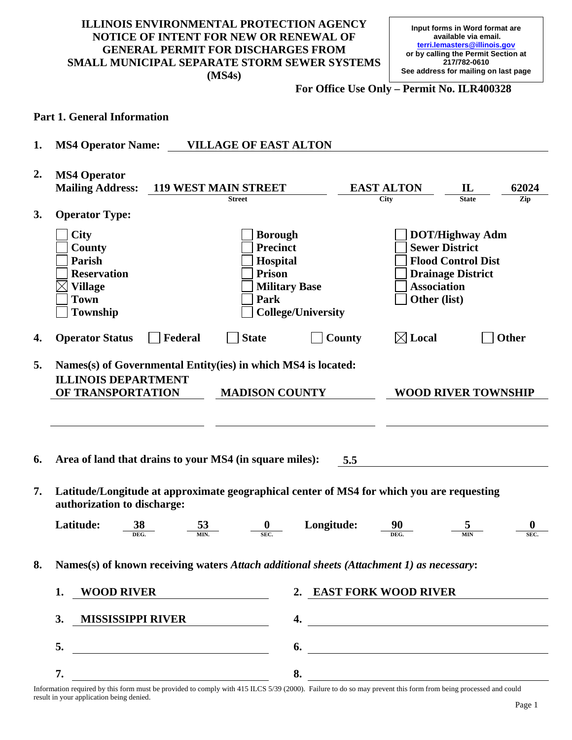# **ILLINOIS ENVIRONMENTAL PROTECTION AGENCY NOTICE OF INTENT FOR NEW OR RENEWAL OF GENERAL PERMIT FOR DISCHARGES FROM SMALL MUNICIPAL SEPARATE STORM SEWER SYSTEMS (MS4s)**

**For Office Use Only – Permit No. ILR400328** 

#### **Part 1. General Information**

**1. MS4 Operator Name: VILLAGE OF EAST ALTON** 

| 2. | <b>MS4 Operator</b>                                                                                                      |                                                                                                                             |                                    |                                                                                                          |
|----|--------------------------------------------------------------------------------------------------------------------------|-----------------------------------------------------------------------------------------------------------------------------|------------------------------------|----------------------------------------------------------------------------------------------------------|
|    | <b>Mailing Address:</b>                                                                                                  | <b>119 WEST MAIN STREET</b>                                                                                                 | <b>EAST ALTON</b>                  | $\mathbf{L}$<br>62024                                                                                    |
|    |                                                                                                                          | <b>Street</b>                                                                                                               | <b>City</b>                        | Zip<br>State                                                                                             |
| 3. | <b>Operator Type:</b>                                                                                                    |                                                                                                                             |                                    |                                                                                                          |
|    | <b>City</b><br>County<br><b>Parish</b><br><b>Reservation</b><br><b>Village</b><br><b>Town</b><br>Township                | <b>Borough</b><br><b>Precinct</b><br>Hospital<br><b>Prison</b><br><b>Military Base</b><br>Park<br><b>College/University</b> | <b>Association</b><br>Other (list) | <b>DOT/Highway Adm</b><br><b>Sewer District</b><br><b>Flood Control Dist</b><br><b>Drainage District</b> |
| 4. | Federal<br><b>Operator Status</b>                                                                                        | <b>State</b>                                                                                                                | $\boxtimes$ Local<br>County        | <b>Other</b>                                                                                             |
| 5. | Names(s) of Governmental Entity(ies) in which MS4 is located:<br><b>ILLINOIS DEPARTMENT</b><br>OF TRANSPORTATION         | <b>MADISON COUNTY</b>                                                                                                       |                                    | <b>WOOD RIVER TOWNSHIP</b>                                                                               |
| 6. | Area of land that drains to your MS4 (in square miles):                                                                  |                                                                                                                             | 5.5                                |                                                                                                          |
| 7. | Latitude/Longitude at approximate geographical center of MS4 for which you are requesting<br>authorization to discharge: |                                                                                                                             |                                    |                                                                                                          |
|    | Latitude:<br>$\frac{38}{\text{deg.}}$                                                                                    | Longitude:<br>$\frac{53}{MN}$<br>$rac{0}{\text{sec.}}$                                                                      |                                    | 0<br><b>SEC</b>                                                                                          |
| 8. | Names(s) of known receiving waters Attach additional sheets (Attachment 1) as necessary:                                 |                                                                                                                             |                                    |                                                                                                          |
|    | 1. WOOD RIVER                                                                                                            |                                                                                                                             | 2. EAST FORK WOOD RIVER            |                                                                                                          |
|    | 3.<br><b>MISSISSIPPI RIVER _____________</b>                                                                             |                                                                                                                             | 4.                                 |                                                                                                          |
|    | 5.                                                                                                                       |                                                                                                                             |                                    | $\overline{\phantom{a}}$                                                                                 |

Information required by this form must be provided to comply with 415 ILCS 5/39 (2000). Failure to do so may prevent this form from being processed and could result in your application being denied.

**7. 8.**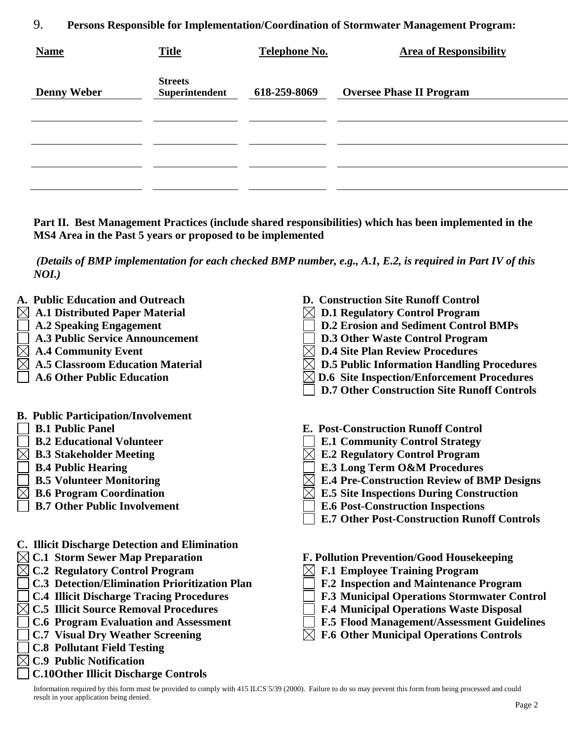9. **Persons Responsible for Implementation/Coordination of Stormwater Management Program:** 

| <b>Name</b>        | <b>Title</b>                     | <b>Telephone No.</b> | <b>Area of Responsibility</b>   |
|--------------------|----------------------------------|----------------------|---------------------------------|
| <b>Denny Weber</b> | <b>Streets</b><br>Superintendent | 618-259-8069         | <b>Oversee Phase II Program</b> |
|                    |                                  |                      |                                 |
|                    |                                  |                      |                                 |
|                    |                                  |                      |                                 |

**Part II. Best Management Practices (include shared responsibilities) which has been implemented in the MS4 Area in the Past 5 years or proposed to be implemented** 

*(Details of BMP implementation for each checked BMP number, e.g., A.1, E.2, is required in Part IV of this NOI.)*

- **A. Public Education and Outreach**
- **A.1 Distributed Paper Material** 
	- **A.2 Speaking Engagement**
- **A.3 Public Service Announcement**
- **A.4 Community Event**
- **A.5 Classroom Education Material**
- **A.6 Other Public Education**
- **B. Public Participation/Involvement**
- **B.1 Public Panel**
- **B.2 Educational Volunteer**
- **B.3 Stakeholder Meeting** 
	- **B.4 Public Hearing**
	- **B.5 Volunteer Monitoring**
- **B.6 Program Coordination**
- **B.7 Other Public Involvement**
- **C. Illicit Discharge Detection and Elimination**
- **C.1 Storm Sewer Map Preparation**
- **C.2 Regulatory Control Program** 
	- **C.3 Detection/Elimination Prioritization Plan**
	- **C.4 Illicit Discharge Tracing Procedures**
- **C.5 Illicit Source Removal Procedures**
- **C.6 Program Evaluation and Assessment**
- **C.7 Visual Dry Weather Screening**
- **C.8 Pollutant Field Testing**
- **C.9 Public Notification**

# **C.10 Other Illicit Discharge Controls**

- **D. Construction Site Runoff Control**
- **D.1 Regulatory Control Program**
- **D.2 Erosion and Sediment Control BMPs**
- **D.3 Other Waste Control Program**
- **D.4 Site Plan Review Procedures**
- **D.5 Public Information Handling Procedures**
- **D.6 Site Inspection/Enforcement Procedures**
- **D.7 Other Construction Site Runoff Controls**
- **E. Post-Construction Runoff Control**
- **E.1 Community Control Strategy**
- **E.2 Regulatory Control Program**
- **E.3 Long Term O&M Procedures**
- **E.4 Pre-Construction Review of BMP Designs**
- **E.5 Site Inspections During Construction**
- **E.6 Post-Construction Inspections**
- **E.7 Other Post-Construction Runoff Controls**

**F. Pollution Prevention/Good Housekeeping** 

- **F.1 Employee Training Program**
- **F.2 Inspection and Maintenance Program**
- **F.3 Municipal Operations Stormwater Control**
- **F.4 Municipal Operations Waste Disposal**
- **F.5 Flood Management/Assessment Guidelines**
- **F.6 Other Municipal Operations Controls**

Information required by this form must be provided to comply with 415 ILCS 5/39 (2000). Failure to do so may prevent this form from being processed and could result in your application being denied.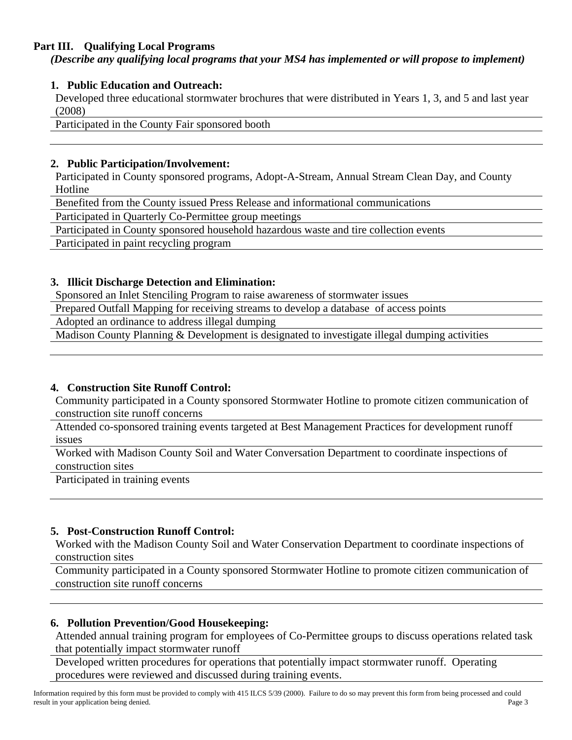# **Part III. Qualifying Local Programs**

*(Describe any qualifying local programs that your MS4 has implemented or will propose to implement)* 

# **1. Public Education and Outreach:**

Developed three educational stormwater brochures that were distributed in Years 1, 3, and 5 and last year (2008)

Participated in the County Fair sponsored booth

#### **2. Public Participation/Involvement:**

Participated in County sponsored programs, Adopt-A-Stream, Annual Stream Clean Day, and County Hotline

Benefited from the County issued Press Release and informational communications

Participated in Quarterly Co-Permittee group meetings

Participated in County sponsored household hazardous waste and tire collection events

Participated in paint recycling program

### **3. Illicit Discharge Detection and Elimination:**

Sponsored an Inlet Stenciling Program to raise awareness of stormwater issues

Prepared Outfall Mapping for receiving streams to develop a database of access points

Adopted an ordinance to address illegal dumping

Madison County Planning & Development is designated to investigate illegal dumping activities

#### **4. Construction Site Runoff Control:**

Community participated in a County sponsored Stormwater Hotline to promote citizen communication of construction site runoff concerns

Attended co-sponsored training events targeted at Best Management Practices for development runoff issues

Worked with Madison County Soil and Water Conversation Department to coordinate inspections of construction sites

Participated in training events

# **5. Post-Construction Runoff Control:**

Worked with the Madison County Soil and Water Conservation Department to coordinate inspections of construction sites

Community participated in a County sponsored Stormwater Hotline to promote citizen communication of construction site runoff concerns

#### **6. Pollution Prevention/Good Housekeeping:**

Attended annual training program for employees of Co-Permittee groups to discuss operations related task that potentially impact stormwater runoff

Developed written procedures for operations that potentially impact stormwater runoff. Operating procedures were reviewed and discussed during training events.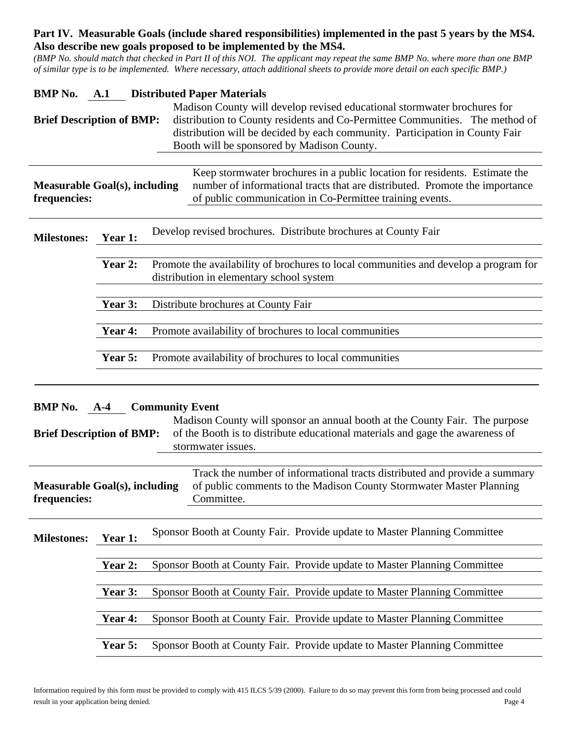# **Part IV. Measurable Goals (include shared responsibilities) implemented in the past 5 years by the MS4. Also describe new goals proposed to be implemented by the MS4.**

*(BMP No. should match that checked in Part II of this NOI. The applicant may repeat the same BMP No. where more than one BMP of similar type is to be implemented. Where necessary, attach additional sheets to provide more detail on each specific BMP.)* 

| <b>BMP</b> No.<br><b>Distributed Paper Materials</b><br>A.1<br>Madison County will develop revised educational stormwater brochures for<br><b>Brief Description of BMP:</b><br>distribution to County residents and Co-Permittee Communities. The method of<br>distribution will be decided by each community. Participation in County Fair<br>Booth will be sponsored by Madison County. |                                                                   |                                                                                                                                                                                                                       |  |  |
|-------------------------------------------------------------------------------------------------------------------------------------------------------------------------------------------------------------------------------------------------------------------------------------------------------------------------------------------------------------------------------------------|-------------------------------------------------------------------|-----------------------------------------------------------------------------------------------------------------------------------------------------------------------------------------------------------------------|--|--|
| <b>Measurable Goal(s), including</b><br>frequencies:                                                                                                                                                                                                                                                                                                                                      |                                                                   | Keep stormwater brochures in a public location for residents. Estimate the<br>number of informational tracts that are distributed. Promote the importance<br>of public communication in Co-Permittee training events. |  |  |
| Develop revised brochures. Distribute brochures at County Fair<br><b>Milestones:</b><br>Year 1:                                                                                                                                                                                                                                                                                           |                                                                   |                                                                                                                                                                                                                       |  |  |
|                                                                                                                                                                                                                                                                                                                                                                                           | Year 2:                                                           | Promote the availability of brochures to local communities and develop a program for<br>distribution in elementary school system                                                                                      |  |  |
|                                                                                                                                                                                                                                                                                                                                                                                           | Year 3:                                                           | Distribute brochures at County Fair                                                                                                                                                                                   |  |  |
|                                                                                                                                                                                                                                                                                                                                                                                           | Year 4:                                                           | Promote availability of brochures to local communities                                                                                                                                                                |  |  |
|                                                                                                                                                                                                                                                                                                                                                                                           |                                                                   |                                                                                                                                                                                                                       |  |  |
|                                                                                                                                                                                                                                                                                                                                                                                           | Year 5:<br>Promote availability of brochures to local communities |                                                                                                                                                                                                                       |  |  |
| <b>BMP</b> No.<br><b>Community Event</b><br>$A-4$<br>Madison County will sponsor an annual booth at the County Fair. The purpose<br>of the Booth is to distribute educational materials and gage the awareness of<br><b>Brief Description of BMP:</b><br>stormwater issues.                                                                                                               |                                                                   |                                                                                                                                                                                                                       |  |  |
| Track the number of informational tracts distributed and provide a summary<br>of public comments to the Madison County Stormwater Master Planning<br><b>Measurable Goal(s), including</b><br>frequencies:<br>Committee.                                                                                                                                                                   |                                                                   |                                                                                                                                                                                                                       |  |  |
| <b>Milestones:</b>                                                                                                                                                                                                                                                                                                                                                                        | Year 1:                                                           | Sponsor Booth at County Fair. Provide update to Master Planning Committee                                                                                                                                             |  |  |
|                                                                                                                                                                                                                                                                                                                                                                                           | Year 2:                                                           | Sponsor Booth at County Fair. Provide update to Master Planning Committee                                                                                                                                             |  |  |
|                                                                                                                                                                                                                                                                                                                                                                                           | Year 3:                                                           | Sponsor Booth at County Fair. Provide update to Master Planning Committee                                                                                                                                             |  |  |
|                                                                                                                                                                                                                                                                                                                                                                                           | Year 4:                                                           | Sponsor Booth at County Fair. Provide update to Master Planning Committee                                                                                                                                             |  |  |
|                                                                                                                                                                                                                                                                                                                                                                                           | Year 5:                                                           | Sponsor Booth at County Fair. Provide update to Master Planning Committee                                                                                                                                             |  |  |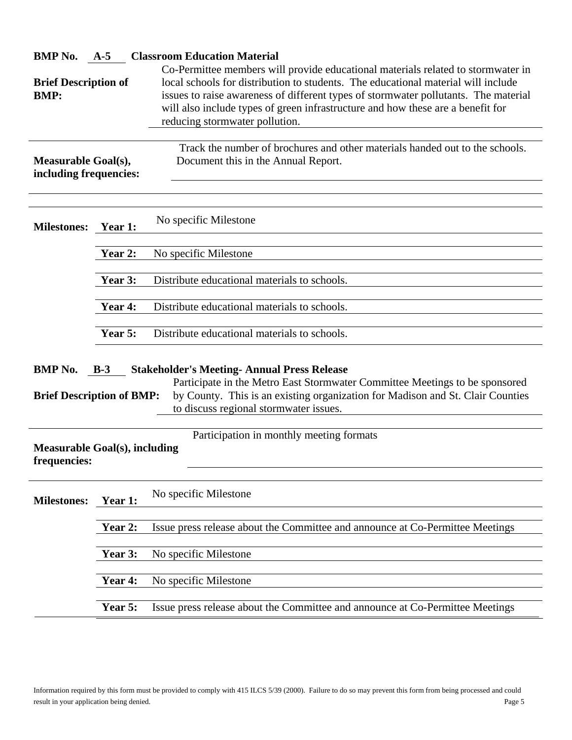| <b>BMP</b> No.                                                                                   | $A-5$                                                                                                                                                                                                                                                                                                     | <b>Classroom Education Material</b>                                                                                                                                                                                                                                                                                                                                               |  |  |
|--------------------------------------------------------------------------------------------------|-----------------------------------------------------------------------------------------------------------------------------------------------------------------------------------------------------------------------------------------------------------------------------------------------------------|-----------------------------------------------------------------------------------------------------------------------------------------------------------------------------------------------------------------------------------------------------------------------------------------------------------------------------------------------------------------------------------|--|--|
| <b>Brief Description of</b><br><b>BMP:</b>                                                       |                                                                                                                                                                                                                                                                                                           | Co-Permittee members will provide educational materials related to stormwater in<br>local schools for distribution to students. The educational material will include<br>issues to raise awareness of different types of stormwater pollutants. The material<br>will also include types of green infrastructure and how these are a benefit for<br>reducing stormwater pollution. |  |  |
| <b>Measurable Goal(s),</b><br>including frequencies:                                             |                                                                                                                                                                                                                                                                                                           | Track the number of brochures and other materials handed out to the schools.<br>Document this in the Annual Report.                                                                                                                                                                                                                                                               |  |  |
| <b>Milestones:</b><br>Year 1:                                                                    |                                                                                                                                                                                                                                                                                                           | No specific Milestone                                                                                                                                                                                                                                                                                                                                                             |  |  |
|                                                                                                  | Year 2:                                                                                                                                                                                                                                                                                                   | No specific Milestone                                                                                                                                                                                                                                                                                                                                                             |  |  |
|                                                                                                  | Year 3:                                                                                                                                                                                                                                                                                                   | Distribute educational materials to schools.                                                                                                                                                                                                                                                                                                                                      |  |  |
|                                                                                                  | Year 4:                                                                                                                                                                                                                                                                                                   | Distribute educational materials to schools.                                                                                                                                                                                                                                                                                                                                      |  |  |
|                                                                                                  | Distribute educational materials to schools.<br>Year 5:                                                                                                                                                                                                                                                   |                                                                                                                                                                                                                                                                                                                                                                                   |  |  |
| <b>BMP</b> No.                                                                                   | <b>Stakeholder's Meeting-Annual Press Release</b><br>$B-3$<br>Participate in the Metro East Stormwater Committee Meetings to be sponsored<br>by County. This is an existing organization for Madison and St. Clair Counties<br><b>Brief Description of BMP:</b><br>to discuss regional stormwater issues. |                                                                                                                                                                                                                                                                                                                                                                                   |  |  |
| Participation in monthly meeting formats<br><b>Measurable Goal(s), including</b><br>frequencies: |                                                                                                                                                                                                                                                                                                           |                                                                                                                                                                                                                                                                                                                                                                                   |  |  |
| <b>Milestones:</b>                                                                               | Year 1:                                                                                                                                                                                                                                                                                                   | No specific Milestone                                                                                                                                                                                                                                                                                                                                                             |  |  |
|                                                                                                  | Year 2:                                                                                                                                                                                                                                                                                                   | Issue press release about the Committee and announce at Co-Permittee Meetings                                                                                                                                                                                                                                                                                                     |  |  |
|                                                                                                  | Year 3:                                                                                                                                                                                                                                                                                                   | No specific Milestone                                                                                                                                                                                                                                                                                                                                                             |  |  |
|                                                                                                  | Year 4:                                                                                                                                                                                                                                                                                                   | No specific Milestone                                                                                                                                                                                                                                                                                                                                                             |  |  |
| Year 5:                                                                                          |                                                                                                                                                                                                                                                                                                           | Issue press release about the Committee and announce at Co-Permittee Meetings                                                                                                                                                                                                                                                                                                     |  |  |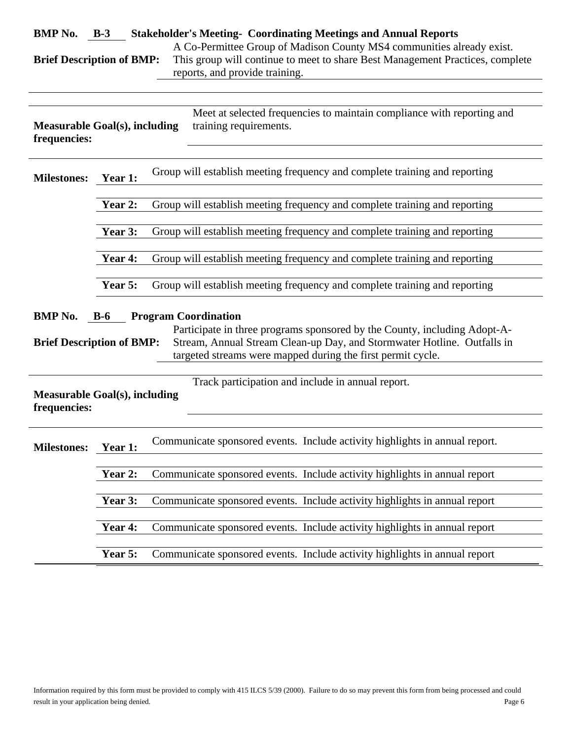| BMP No. B-3                                                                                                                                                                                                                                                                                                       |                                                                                       | <b>Stakeholder's Meeting- Coordinating Meetings and Annual Reports</b>      |  |  |
|-------------------------------------------------------------------------------------------------------------------------------------------------------------------------------------------------------------------------------------------------------------------------------------------------------------------|---------------------------------------------------------------------------------------|-----------------------------------------------------------------------------|--|--|
| A Co-Permittee Group of Madison County MS4 communities already exist.<br>This group will continue to meet to share Best Management Practices, complete<br><b>Brief Description of BMP:</b><br>reports, and provide training.                                                                                      |                                                                                       |                                                                             |  |  |
| Meet at selected frequencies to maintain compliance with reporting and<br>training requirements.<br><b>Measurable Goal(s), including</b><br>frequencies:                                                                                                                                                          |                                                                                       |                                                                             |  |  |
| <b>Milestones:</b>                                                                                                                                                                                                                                                                                                | Group will establish meeting frequency and complete training and reporting<br>Year 1: |                                                                             |  |  |
|                                                                                                                                                                                                                                                                                                                   | Year 2:                                                                               | Group will establish meeting frequency and complete training and reporting  |  |  |
|                                                                                                                                                                                                                                                                                                                   | Year 3:                                                                               | Group will establish meeting frequency and complete training and reporting  |  |  |
|                                                                                                                                                                                                                                                                                                                   | Year 4:                                                                               | Group will establish meeting frequency and complete training and reporting  |  |  |
|                                                                                                                                                                                                                                                                                                                   | Year 5:                                                                               | Group will establish meeting frequency and complete training and reporting  |  |  |
| <b>BMP</b> No.<br><b>Program Coordination</b><br>$B-6$<br>Participate in three programs sponsored by the County, including Adopt-A-<br>Stream, Annual Stream Clean-up Day, and Stormwater Hotline. Outfalls in<br><b>Brief Description of BMP:</b><br>targeted streams were mapped during the first permit cycle. |                                                                                       |                                                                             |  |  |
| Track participation and include in annual report.<br><b>Measurable Goal(s), including</b><br>frequencies:                                                                                                                                                                                                         |                                                                                       |                                                                             |  |  |
| <b>Milestones:</b>                                                                                                                                                                                                                                                                                                | <b>Year 1:</b>                                                                        | Communicate sponsored events. Include activity highlights in annual report. |  |  |
|                                                                                                                                                                                                                                                                                                                   | Year 2:                                                                               | Communicate sponsored events. Include activity highlights in annual report  |  |  |
|                                                                                                                                                                                                                                                                                                                   | Year 3:                                                                               | Communicate sponsored events. Include activity highlights in annual report  |  |  |
|                                                                                                                                                                                                                                                                                                                   | Year 4:                                                                               | Communicate sponsored events. Include activity highlights in annual report  |  |  |
|                                                                                                                                                                                                                                                                                                                   | Year 5:                                                                               | Communicate sponsored events. Include activity highlights in annual report  |  |  |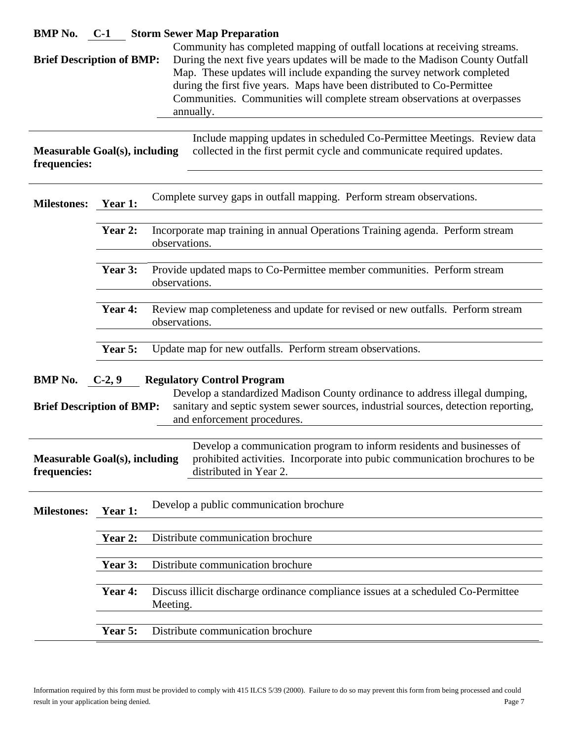|                                                                                                                                                                                                                                                                                                                                                                                                                                               |                                                                                                            | <b>BMP No.</b> C-1 Storm Sewer Map Preparation                                                                                                                                 |  |
|-----------------------------------------------------------------------------------------------------------------------------------------------------------------------------------------------------------------------------------------------------------------------------------------------------------------------------------------------------------------------------------------------------------------------------------------------|------------------------------------------------------------------------------------------------------------|--------------------------------------------------------------------------------------------------------------------------------------------------------------------------------|--|
| Community has completed mapping of outfall locations at receiving streams.<br>During the next five years updates will be made to the Madison County Outfall<br><b>Brief Description of BMP:</b><br>Map. These updates will include expanding the survey network completed<br>during the first five years. Maps have been distributed to Co-Permittee<br>Communities. Communities will complete stream observations at overpasses<br>annually. |                                                                                                            |                                                                                                                                                                                |  |
| <b>Measurable Goal(s), including</b><br>frequencies:                                                                                                                                                                                                                                                                                                                                                                                          |                                                                                                            | Include mapping updates in scheduled Co-Permittee Meetings. Review data<br>collected in the first permit cycle and communicate required updates.                               |  |
| Complete survey gaps in outfall mapping. Perform stream observations.<br><b>Milestones:</b><br>Year 1:                                                                                                                                                                                                                                                                                                                                        |                                                                                                            |                                                                                                                                                                                |  |
| Incorporate map training in annual Operations Training agenda. Perform stream<br>Year 2:<br>observations.                                                                                                                                                                                                                                                                                                                                     |                                                                                                            |                                                                                                                                                                                |  |
|                                                                                                                                                                                                                                                                                                                                                                                                                                               | Year 3:                                                                                                    | Provide updated maps to Co-Permittee member communities. Perform stream<br>observations.                                                                                       |  |
|                                                                                                                                                                                                                                                                                                                                                                                                                                               | Year 4:<br>Review map completeness and update for revised or new outfalls. Perform stream<br>observations. |                                                                                                                                                                                |  |
|                                                                                                                                                                                                                                                                                                                                                                                                                                               | Year 5:<br>Update map for new outfalls. Perform stream observations.                                       |                                                                                                                                                                                |  |
| <b>Regulatory Control Program</b><br><b>BMP</b> No.<br>$C-2, 9$<br>Develop a standardized Madison County ordinance to address illegal dumping,<br>sanitary and septic system sewer sources, industrial sources, detection reporting,<br><b>Brief Description of BMP:</b><br>and enforcement procedures.                                                                                                                                       |                                                                                                            |                                                                                                                                                                                |  |
| <b>Measurable Goal(s), including</b><br>frequencies:                                                                                                                                                                                                                                                                                                                                                                                          |                                                                                                            | Develop a communication program to inform residents and businesses of<br>prohibited activities. Incorporate into pubic communication brochures to be<br>distributed in Year 2. |  |
| <b>Milestones:</b>                                                                                                                                                                                                                                                                                                                                                                                                                            | Year 1:                                                                                                    | Develop a public communication brochure                                                                                                                                        |  |
|                                                                                                                                                                                                                                                                                                                                                                                                                                               | Year 2:                                                                                                    | Distribute communication brochure                                                                                                                                              |  |
| Distribute communication brochure<br>Year 3:                                                                                                                                                                                                                                                                                                                                                                                                  |                                                                                                            |                                                                                                                                                                                |  |
|                                                                                                                                                                                                                                                                                                                                                                                                                                               | Year 4:                                                                                                    | Discuss illicit discharge ordinance compliance issues at a scheduled Co-Permittee<br>Meeting.                                                                                  |  |
| Year 5:<br>Distribute communication brochure                                                                                                                                                                                                                                                                                                                                                                                                  |                                                                                                            |                                                                                                                                                                                |  |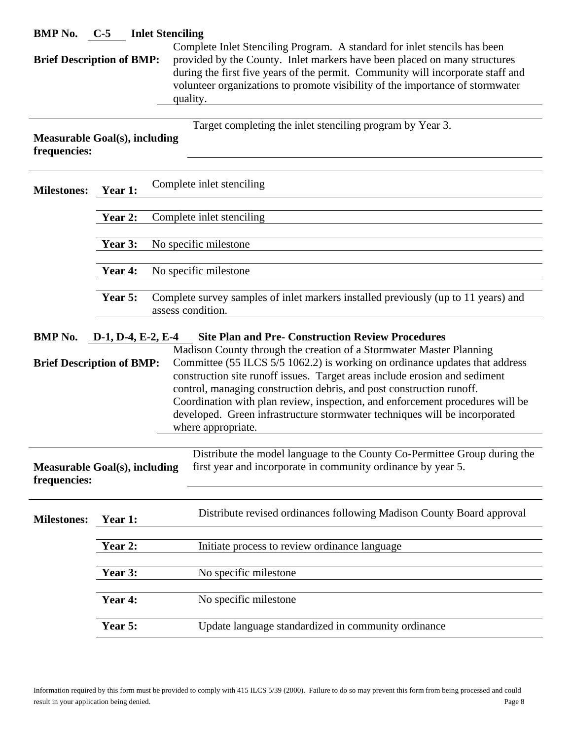| <b>BMP</b> No.<br><b>C-5</b> Inlet Stenciling<br>Complete Inlet Stenciling Program. A standard for inlet stencils has been                                                                                                                                                                                                                                                                    |                                                                                                                                                                                                                                                                                               |                                                                                                                                                                                                                                            |  |  |  |  |
|-----------------------------------------------------------------------------------------------------------------------------------------------------------------------------------------------------------------------------------------------------------------------------------------------------------------------------------------------------------------------------------------------|-----------------------------------------------------------------------------------------------------------------------------------------------------------------------------------------------------------------------------------------------------------------------------------------------|--------------------------------------------------------------------------------------------------------------------------------------------------------------------------------------------------------------------------------------------|--|--|--|--|
|                                                                                                                                                                                                                                                                                                                                                                                               | provided by the County. Inlet markers have been placed on many structures<br><b>Brief Description of BMP:</b><br>during the first five years of the permit. Community will incorporate staff and<br>volunteer organizations to promote visibility of the importance of stormwater<br>quality. |                                                                                                                                                                                                                                            |  |  |  |  |
| <b>Measurable Goal(s), including</b><br>frequencies:                                                                                                                                                                                                                                                                                                                                          |                                                                                                                                                                                                                                                                                               | Target completing the inlet stenciling program by Year 3.                                                                                                                                                                                  |  |  |  |  |
| <b>Milestones:</b>                                                                                                                                                                                                                                                                                                                                                                            | Complete inlet stenciling<br>Year 1:                                                                                                                                                                                                                                                          |                                                                                                                                                                                                                                            |  |  |  |  |
|                                                                                                                                                                                                                                                                                                                                                                                               | Year 2:                                                                                                                                                                                                                                                                                       | Complete inlet stenciling                                                                                                                                                                                                                  |  |  |  |  |
|                                                                                                                                                                                                                                                                                                                                                                                               | Year 3:                                                                                                                                                                                                                                                                                       | No specific milestone                                                                                                                                                                                                                      |  |  |  |  |
|                                                                                                                                                                                                                                                                                                                                                                                               | Year 4:                                                                                                                                                                                                                                                                                       | No specific milestone                                                                                                                                                                                                                      |  |  |  |  |
|                                                                                                                                                                                                                                                                                                                                                                                               | Year 5:<br>Complete survey samples of inlet markers installed previously (up to 11 years) and<br>assess condition.                                                                                                                                                                            |                                                                                                                                                                                                                                            |  |  |  |  |
| <b>Site Plan and Pre- Construction Review Procedures</b><br><b>BMP</b> No.<br>$D-1$ , $D-4$ , E-2, E-4<br>Madison County through the creation of a Stormwater Master Planning<br><b>Brief Description of BMP:</b><br>construction site runoff issues. Target areas include erosion and sediment<br>control, managing construction debris, and post construction runoff.<br>where appropriate. |                                                                                                                                                                                                                                                                                               | Committee (55 ILCS 5/5 1062.2) is working on ordinance updates that address<br>Coordination with plan review, inspection, and enforcement procedures will be<br>developed. Green infrastructure stormwater techniques will be incorporated |  |  |  |  |
| first year and incorporate in community ordinance by year 5.<br><b>Measurable Goal(s), including</b><br>frequencies:                                                                                                                                                                                                                                                                          |                                                                                                                                                                                                                                                                                               | Distribute the model language to the County Co-Permittee Group during the                                                                                                                                                                  |  |  |  |  |
| <b>Milestones:</b>                                                                                                                                                                                                                                                                                                                                                                            | Year 1:                                                                                                                                                                                                                                                                                       | Distribute revised ordinances following Madison County Board approval                                                                                                                                                                      |  |  |  |  |
|                                                                                                                                                                                                                                                                                                                                                                                               | Year 2:                                                                                                                                                                                                                                                                                       | Initiate process to review ordinance language                                                                                                                                                                                              |  |  |  |  |
|                                                                                                                                                                                                                                                                                                                                                                                               | Year 3:                                                                                                                                                                                                                                                                                       | No specific milestone                                                                                                                                                                                                                      |  |  |  |  |
|                                                                                                                                                                                                                                                                                                                                                                                               | Year 4:                                                                                                                                                                                                                                                                                       | No specific milestone                                                                                                                                                                                                                      |  |  |  |  |
|                                                                                                                                                                                                                                                                                                                                                                                               | Year 5:                                                                                                                                                                                                                                                                                       | Update language standardized in community ordinance                                                                                                                                                                                        |  |  |  |  |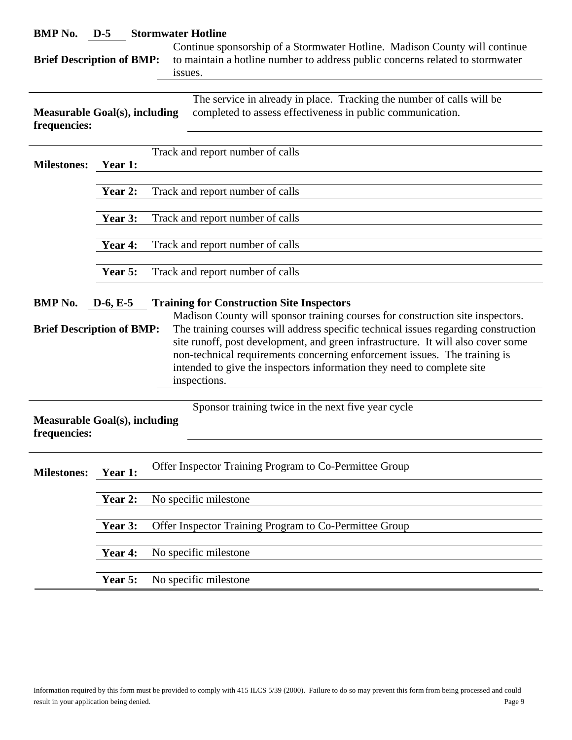| <b>BMP</b> No.<br>$D-5$<br><b>Stormwater Hotline</b><br>Continue sponsorship of a Stormwater Hotline. Madison County will continue                                                                                                                                                                                                                                                                                                                                                                                                                      |         |                                                                                                                                     |  |  |
|---------------------------------------------------------------------------------------------------------------------------------------------------------------------------------------------------------------------------------------------------------------------------------------------------------------------------------------------------------------------------------------------------------------------------------------------------------------------------------------------------------------------------------------------------------|---------|-------------------------------------------------------------------------------------------------------------------------------------|--|--|
| to maintain a hotline number to address public concerns related to stormwater<br><b>Brief Description of BMP:</b><br>issues.                                                                                                                                                                                                                                                                                                                                                                                                                            |         |                                                                                                                                     |  |  |
|                                                                                                                                                                                                                                                                                                                                                                                                                                                                                                                                                         |         |                                                                                                                                     |  |  |
| Measurable Goal(s), including<br>frequencies:                                                                                                                                                                                                                                                                                                                                                                                                                                                                                                           |         | The service in already in place. Tracking the number of calls will be<br>completed to assess effectiveness in public communication. |  |  |
|                                                                                                                                                                                                                                                                                                                                                                                                                                                                                                                                                         |         | Track and report number of calls                                                                                                    |  |  |
| <b>Milestones:</b>                                                                                                                                                                                                                                                                                                                                                                                                                                                                                                                                      | Year 1: |                                                                                                                                     |  |  |
|                                                                                                                                                                                                                                                                                                                                                                                                                                                                                                                                                         | Year 2: | Track and report number of calls                                                                                                    |  |  |
|                                                                                                                                                                                                                                                                                                                                                                                                                                                                                                                                                         | Year 3: | Track and report number of calls                                                                                                    |  |  |
|                                                                                                                                                                                                                                                                                                                                                                                                                                                                                                                                                         |         |                                                                                                                                     |  |  |
|                                                                                                                                                                                                                                                                                                                                                                                                                                                                                                                                                         | Year 4: | Track and report number of calls                                                                                                    |  |  |
|                                                                                                                                                                                                                                                                                                                                                                                                                                                                                                                                                         | Year 5: | Track and report number of calls                                                                                                    |  |  |
| <b>BMP</b> No.<br><b>Training for Construction Site Inspectors</b><br>$D-6, E-5$<br>Madison County will sponsor training courses for construction site inspectors.<br>The training courses will address specific technical issues regarding construction<br><b>Brief Description of BMP:</b><br>site runoff, post development, and green infrastructure. It will also cover some<br>non-technical requirements concerning enforcement issues. The training is<br>intended to give the inspectors information they need to complete site<br>inspections. |         |                                                                                                                                     |  |  |
| Sponsor training twice in the next five year cycle<br><b>Measurable Goal(s), including</b><br>frequencies:                                                                                                                                                                                                                                                                                                                                                                                                                                              |         |                                                                                                                                     |  |  |
| <b>Milestones:</b>                                                                                                                                                                                                                                                                                                                                                                                                                                                                                                                                      | Year 1: | Offer Inspector Training Program to Co-Permittee Group                                                                              |  |  |
|                                                                                                                                                                                                                                                                                                                                                                                                                                                                                                                                                         | Year 2: | No specific milestone                                                                                                               |  |  |
|                                                                                                                                                                                                                                                                                                                                                                                                                                                                                                                                                         | Year 3: | Offer Inspector Training Program to Co-Permittee Group                                                                              |  |  |
|                                                                                                                                                                                                                                                                                                                                                                                                                                                                                                                                                         |         |                                                                                                                                     |  |  |
|                                                                                                                                                                                                                                                                                                                                                                                                                                                                                                                                                         | Year 4: | No specific milestone                                                                                                               |  |  |
|                                                                                                                                                                                                                                                                                                                                                                                                                                                                                                                                                         | Year 5: | No specific milestone                                                                                                               |  |  |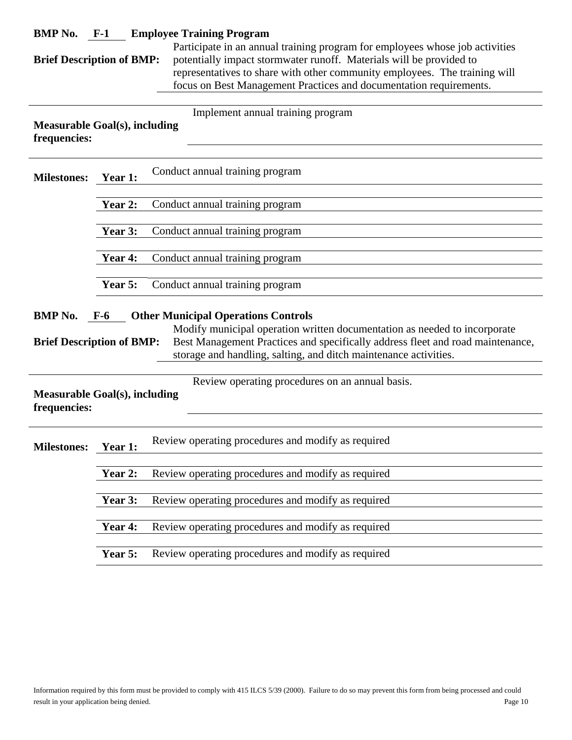| BMP No. $F-1$                                                                                                                                                                                                                                                                                                                                |                | <b>Employee Training Program</b>                   |
|----------------------------------------------------------------------------------------------------------------------------------------------------------------------------------------------------------------------------------------------------------------------------------------------------------------------------------------------|----------------|----------------------------------------------------|
| Participate in an annual training program for employees whose job activities<br>potentially impact stormwater runoff. Materials will be provided to<br><b>Brief Description of BMP:</b><br>representatives to share with other community employees. The training will<br>focus on Best Management Practices and documentation requirements.  |                |                                                    |
|                                                                                                                                                                                                                                                                                                                                              |                |                                                    |
| <b>Measurable Goal(s), including</b><br>frequencies:                                                                                                                                                                                                                                                                                         |                | Implement annual training program                  |
| <b>Milestones:</b>                                                                                                                                                                                                                                                                                                                           | Year 1:        | Conduct annual training program                    |
|                                                                                                                                                                                                                                                                                                                                              | Year 2:        | Conduct annual training program                    |
|                                                                                                                                                                                                                                                                                                                                              | Year 3:        | Conduct annual training program                    |
|                                                                                                                                                                                                                                                                                                                                              | Year 4:        | Conduct annual training program                    |
|                                                                                                                                                                                                                                                                                                                                              |                |                                                    |
|                                                                                                                                                                                                                                                                                                                                              | Year 5:        | Conduct annual training program                    |
| <b>BMP</b> No.<br><b>Other Municipal Operations Controls</b><br>$F-6$<br>Modify municipal operation written documentation as needed to incorporate<br>Best Management Practices and specifically address fleet and road maintenance,<br><b>Brief Description of BMP:</b><br>storage and handling, salting, and ditch maintenance activities. |                |                                                    |
| Review operating procedures on an annual basis.<br><b>Measurable Goal(s), including</b><br>frequencies:                                                                                                                                                                                                                                      |                |                                                    |
| <b>Milestones:</b>                                                                                                                                                                                                                                                                                                                           | <b>Year 1:</b> | Review operating procedures and modify as required |
|                                                                                                                                                                                                                                                                                                                                              | Year 2:        | Review operating procedures and modify as required |
|                                                                                                                                                                                                                                                                                                                                              | Year 3:        | Review operating procedures and modify as required |
|                                                                                                                                                                                                                                                                                                                                              | Year 4:        | Review operating procedures and modify as required |
|                                                                                                                                                                                                                                                                                                                                              | Year 5:        | Review operating procedures and modify as required |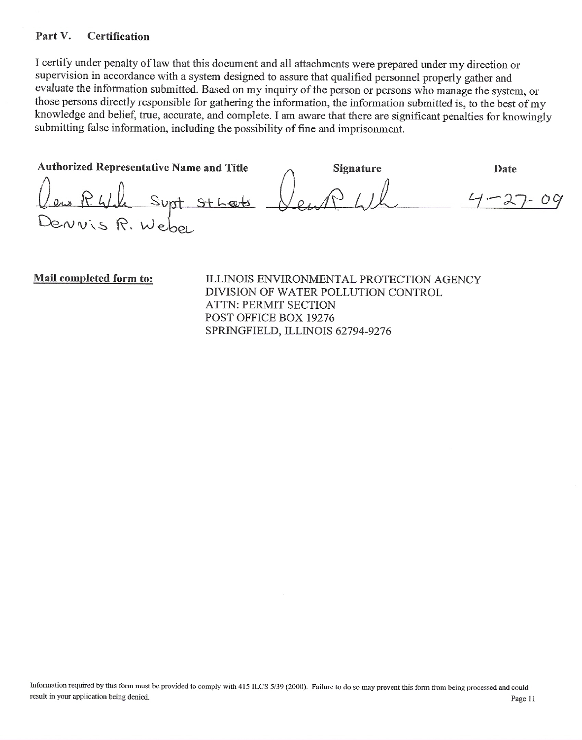#### Part V. **Certification**

I certify under penalty of law that this document and all attachments were prepared under my direction or supervision in accordance with a system designed to assure that qualified personnel properly gather and evaluate the information submitted. Based on my inquiry of the person or persons who manage the system, or those persons directly responsible for gathering the information, the information submitted is, to the best of my knowledge and belief, true, accurate, and complete. I am aware that there are significant penalties for knowingly submitting false information, including the possibility of fine and imprisonment.

Authorized Representative Name and Title **Signature** Date bruis R. Wel

Mail completed form to:

ILLINOIS ENVIRONMENTAL PROTECTION AGENCY DIVISION OF WATER POLLUTION CONTROL **ATTN: PERMIT SECTION** POST OFFICE BOX 19276 SPRINGFIELD, ILLINOIS 62794-9276